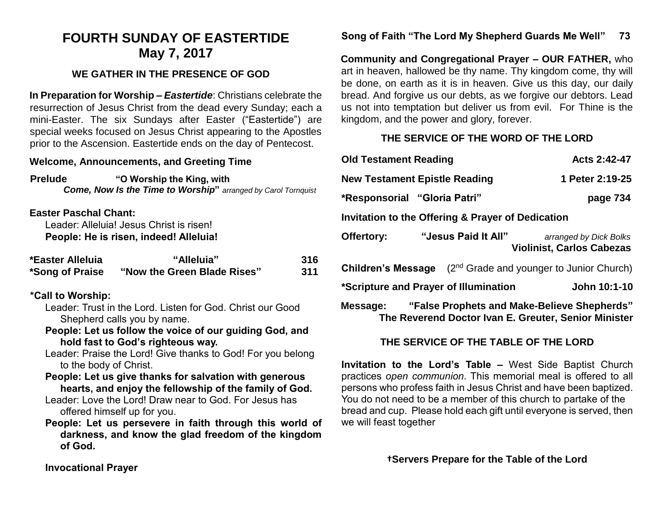# **FOURTH SUNDAY OF EASTERTIDE May 7, 2017**

## **WE GATHER IN THE PRESENCE OF GOD**

**In Preparation for Worship –** *Eastertide*: Christians celebrate the resurrection of Jesus Christ from the dead every Sunday; each a mini-Easter. The six Sundays after Easter ("Eastertide") are special weeks focused on Jesus Christ appearing to the Apostles prior to the Ascension. Eastertide ends on the day of Pentecost.

#### **Welcome, Announcements, and Greeting Time**

| <b>Prelude</b> | "O Worship the King, with                                             |
|----------------|-----------------------------------------------------------------------|
|                | <b>Come, Now Is the Time to Worship</b> " arranged by Carol Tornquist |

#### **Easter Paschal Chant:**

Leader: Alleluia! Jesus Christ is risen! **People: He is risen, indeed! Alleluia!**

| *Easter Alleluia | "Alleluia"                  | <b>316</b> |
|------------------|-----------------------------|------------|
| *Song of Praise  | "Now the Green Blade Rises" | 311        |

### **\*Call to Worship:**

- Leader: Trust in the Lord. Listen for God. Christ our Good Shepherd calls you by name.
- **People: Let us follow the voice of our guiding God, and hold fast to God's righteous way.**
- Leader: Praise the Lord! Give thanks to God! For you belong to the body of Christ.

**People: Let us give thanks for salvation with generous hearts, and enjoy the fellowship of the family of God.**

- Leader: Love the Lord! Draw near to God. For Jesus has offered himself up for you.
- **People: Let us persevere in faith through this world of darkness, and know the glad freedom of the kingdom of God.**

## **Song of Faith "The Lord My Shepherd Guards Me Well" 73**

**Community and Congregational Prayer – OUR FATHER,** who art in heaven, hallowed be thy name. Thy kingdom come, thy will be done, on earth as it is in heaven. Give us this day, our daily bread. And forgive us our debts, as we forgive our debtors. Lead us not into temptation but deliver us from evil. For Thine is the kingdom, and the power and glory, forever.

# **THE SERVICE OF THE WORD OF THE LORD**

| <b>Old Testament Reading</b>                                                                                 | Acts 2:42-47                                               |  |  |  |
|--------------------------------------------------------------------------------------------------------------|------------------------------------------------------------|--|--|--|
| <b>New Testament Epistle Reading</b>                                                                         | 1 Peter 2:19-25                                            |  |  |  |
| <i>*Responsorial "Gloria Patri"</i><br>page 734                                                              |                                                            |  |  |  |
| Invitation to the Offering & Prayer of Dedication                                                            |                                                            |  |  |  |
| "Jesus Paid It All"<br>Offertory:                                                                            | arranged by Dick Bolks<br><b>Violinist, Carlos Cabezas</b> |  |  |  |
| <b>Children's Message</b> (2 <sup>nd</sup> Grade and younger to Junior Church)                               |                                                            |  |  |  |
| *Scripture and Prayer of Illumination<br>John 10:1-10                                                        |                                                            |  |  |  |
| Message: "False Prophets and Make-Believe Shepherds"<br>The Reverend Doctor Ivan E. Greuter, Senior Minister |                                                            |  |  |  |

## **THE SERVICE OF THE TABLE OF THE LORD**

**Invitation to the Lord's Table –** West Side Baptist Church practices *open communion*. This memorial meal is offered to all persons who profess faith in Jesus Christ and have been baptized. You do not need to be a member of this church to partake of the bread and cup. Please hold each gift until everyone is served, then we will feast together

**†Servers Prepare for the Table of the Lord**

**Invocational Prayer**